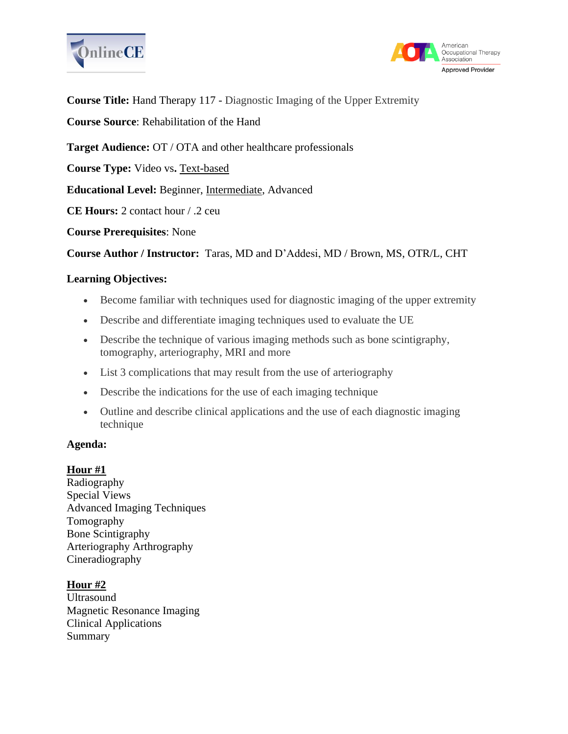



**Course Title:** Hand Therapy 117 - Diagnostic Imaging of the Upper Extremity

**Course Source**: Rehabilitation of the Hand

**Target Audience:** OT / OTA and other healthcare professionals

**Course Type:** Video vs**.** Text-based

**Educational Level:** Beginner, Intermediate, Advanced

**CE Hours:** 2 contact hour / .2 ceu

**Course Prerequisites**: None

**Course Author / Instructor:** Taras, MD and D'Addesi, MD / Brown, MS, OTR/L, CHT

## **Learning Objectives:**

- Become familiar with techniques used for diagnostic imaging of the upper extremity
- Describe and differentiate imaging techniques used to evaluate the UE
- Describe the technique of various imaging methods such as bone scintigraphy, tomography, arteriography, MRI and more
- List 3 complications that may result from the use of arteriography
- Describe the indications for the use of each imaging technique
- Outline and describe clinical applications and the use of each diagnostic imaging technique

### **Agenda:**

### **Hour #1**

Radiography Special Views Advanced Imaging Techniques Tomography Bone Scintigraphy Arteriography Arthrography Cineradiography

# **Hour #2**

Ultrasound Magnetic Resonance Imaging Clinical Applications Summary